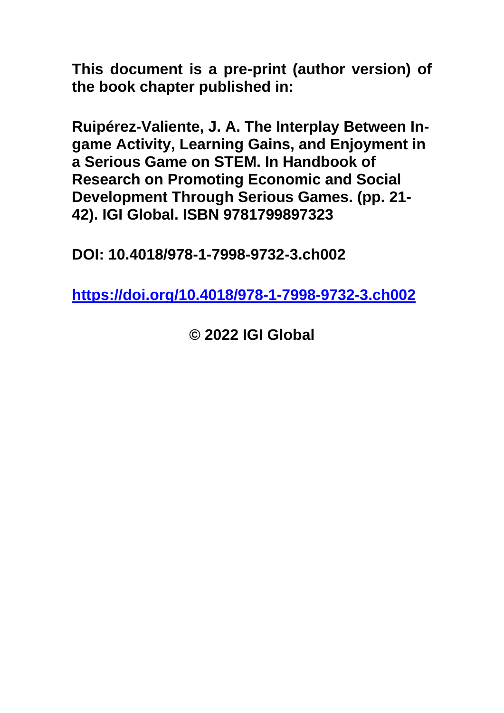**This document is a pre-print (author version) of the book chapter published in:**

**Ruipérez-Valiente, J. A. The Interplay Between Ingame Activity, Learning Gains, and Enjoyment in a Serious Game on STEM. In Handbook of Research on Promoting Economic and Social Development Through Serious Games. (pp. 21- 42). IGI Global. ISBN 9781799897323**

**DOI: 10.4018/978-1-7998-9732-3.ch002**

**<https://doi.org/10.4018/978-1-7998-9732-3.ch002>**

**© 2022 IGI Global**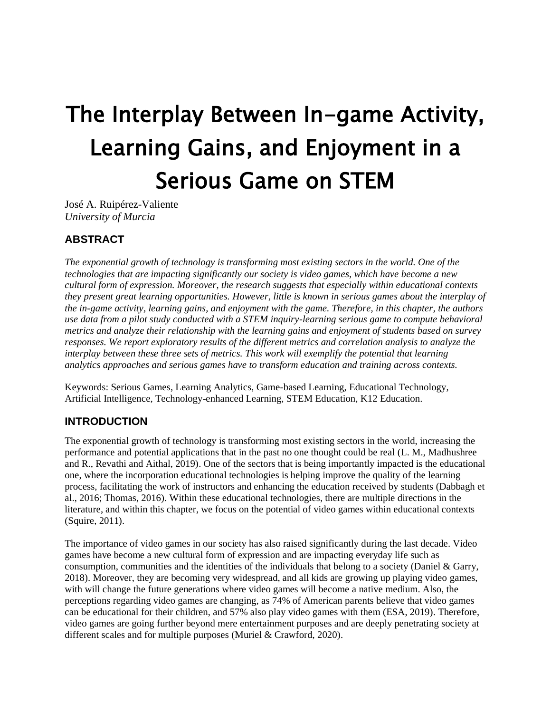# The Interplay Between In-game Activity, Learning Gains, and Enjoyment in a Serious Game on STEM

José A. Ruipérez-Valiente *University of Murcia*

# **ABSTRACT**

*The exponential growth of technology is transforming most existing sectors in the world. One of the technologies that are impacting significantly our society is video games, which have become a new cultural form of expression. Moreover, the research suggests that especially within educational contexts they present great learning opportunities. However, little is known in serious games about the interplay of the in-game activity, learning gains, and enjoyment with the game. Therefore, in this chapter, the authors use data from a pilot study conducted with a STEM inquiry-learning serious game to compute behavioral metrics and analyze their relationship with the learning gains and enjoyment of students based on survey responses. We report exploratory results of the different metrics and correlation analysis to analyze the interplay between these three sets of metrics. This work will exemplify the potential that learning analytics approaches and serious games have to transform education and training across contexts.*

Keywords: Serious Games, Learning Analytics, Game-based Learning, Educational Technology, Artificial Intelligence, Technology-enhanced Learning, STEM Education, K12 Education.

# **INTRODUCTION**

The exponential growth of technology is transforming most existing sectors in the world, increasing the performance and potential applications that in the past no one thought could be real (L. M., Madhushree and R., Revathi and Aithal, 2019). One of the sectors that is being importantly impacted is the educational one, where the incorporation educational technologies is helping improve the quality of the learning process, facilitating the work of instructors and enhancing the education received by students (Dabbagh et al., 2016; Thomas, 2016). Within these educational technologies, there are multiple directions in the literature, and within this chapter, we focus on the potential of video games within educational contexts (Squire, 2011).

The importance of video games in our society has also raised significantly during the last decade. Video games have become a new cultural form of expression and are impacting everyday life such as consumption, communities and the identities of the individuals that belong to a society (Daniel & Garry, 2018). Moreover, they are becoming very widespread, and all kids are growing up playing video games, with will change the future generations where video games will become a native medium. Also, the perceptions regarding video games are changing, as 74% of American parents believe that video games can be educational for their children, and 57% also play video games with them (ESA, 2019). Therefore, video games are going further beyond mere entertainment purposes and are deeply penetrating society at different scales and for multiple purposes (Muriel & Crawford, 2020).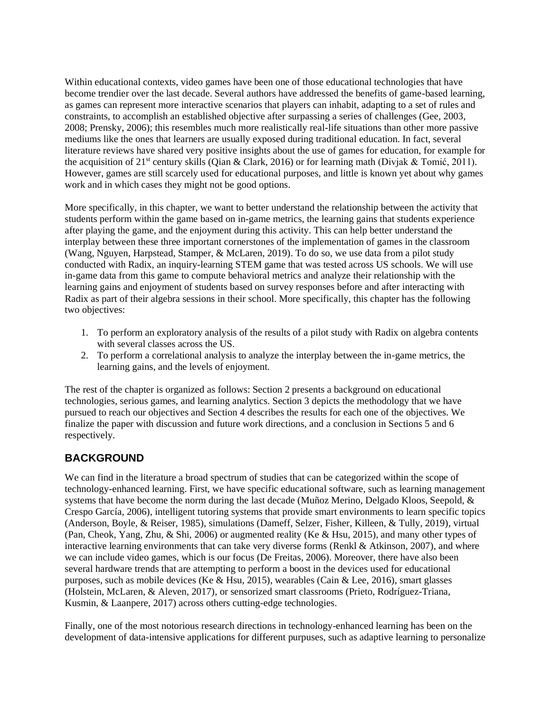Within educational contexts, video games have been one of those educational technologies that have become trendier over the last decade. Several authors have addressed the benefits of game-based learning, as games can represent more interactive scenarios that players can inhabit, adapting to a set of rules and constraints, to accomplish an established objective after surpassing a series of challenges (Gee, 2003, 2008; Prensky, 2006); this resembles much more realistically real-life situations than other more passive mediums like the ones that learners are usually exposed during traditional education. In fact, several literature reviews have shared very positive insights about the use of games for education, for example for the acquisition of 21<sup>st</sup> century skills (Qian & Clark, 2016) or for learning math (Divjak & Tomić, 2011). However, games are still scarcely used for educational purposes, and little is known yet about why games work and in which cases they might not be good options.

More specifically, in this chapter, we want to better understand the relationship between the activity that students perform within the game based on in-game metrics, the learning gains that students experience after playing the game, and the enjoyment during this activity. This can help better understand the interplay between these three important cornerstones of the implementation of games in the classroom (Wang, Nguyen, Harpstead, Stamper, & McLaren, 2019). To do so, we use data from a pilot study conducted with Radix, an inquiry-learning STEM game that was tested across US schools. We will use in-game data from this game to compute behavioral metrics and analyze their relationship with the learning gains and enjoyment of students based on survey responses before and after interacting with Radix as part of their algebra sessions in their school. More specifically, this chapter has the following two objectives:

- 1. To perform an exploratory analysis of the results of a pilot study with Radix on algebra contents with several classes across the US.
- 2. To perform a correlational analysis to analyze the interplay between the in-game metrics, the learning gains, and the levels of enjoyment.

The rest of the chapter is organized as follows: Section 2 presents a background on educational technologies, serious games, and learning analytics. Section 3 depicts the methodology that we have pursued to reach our objectives and Section 4 describes the results for each one of the objectives. We finalize the paper with discussion and future work directions, and a conclusion in Sections 5 and 6 respectively.

### **BACKGROUND**

We can find in the literature a broad spectrum of studies that can be categorized within the scope of technology-enhanced learning. First, we have specific educational software, such as learning management systems that have become the norm during the last decade (Muñoz Merino, Delgado Kloos, Seepold, & Crespo García, 2006), intelligent tutoring systems that provide smart environments to learn specific topics (Anderson, Boyle, & Reiser, 1985), simulations (Dameff, Selzer, Fisher, Killeen, & Tully, 2019), virtual (Pan, Cheok, Yang, Zhu, & Shi, 2006) or augmented reality (Ke & Hsu, 2015), and many other types of interactive learning environments that can take very diverse forms (Renkl & Atkinson, 2007), and where we can include video games, which is our focus (De Freitas, 2006). Moreover, there have also been several hardware trends that are attempting to perform a boost in the devices used for educational purposes, such as mobile devices (Ke & Hsu, 2015), wearables (Cain & Lee, 2016), smart glasses (Holstein, McLaren, & Aleven, 2017), or sensorized smart classrooms (Prieto, Rodríguez-Triana, Kusmin, & Laanpere, 2017) across others cutting-edge technologies.

Finally, one of the most notorious research directions in technology-enhanced learning has been on the development of data-intensive applications for different purpuses, such as adaptive learning to personalize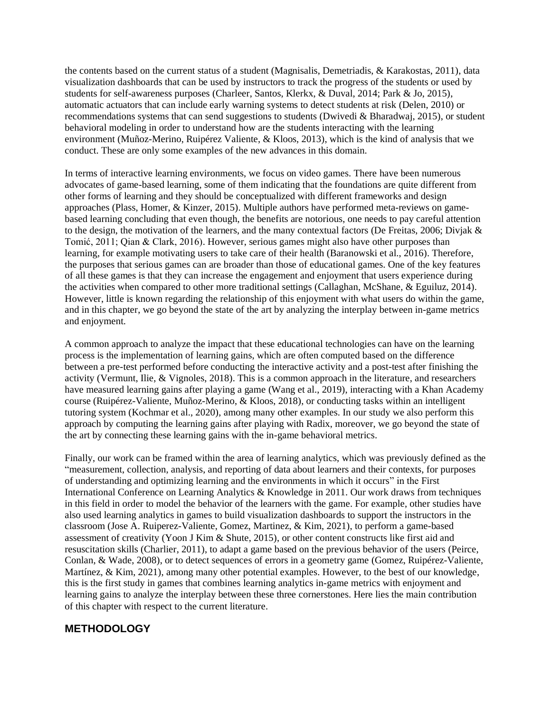the contents based on the current status of a student (Magnisalis, Demetriadis, & Karakostas, 2011), data visualization dashboards that can be used by instructors to track the progress of the students or used by students for self-awareness purposes (Charleer, Santos, Klerkx, & Duval, 2014; Park & Jo, 2015), automatic actuators that can include early warning systems to detect students at risk (Delen, 2010) or recommendations systems that can send suggestions to students (Dwivedi & Bharadwaj, 2015), or student behavioral modeling in order to understand how are the students interacting with the learning environment (Muñoz-Merino, Ruipérez Valiente, & Kloos, 2013), which is the kind of analysis that we conduct. These are only some examples of the new advances in this domain.

In terms of interactive learning environments, we focus on video games. There have been numerous advocates of game-based learning, some of them indicating that the foundations are quite different from other forms of learning and they should be conceptualized with different frameworks and design approaches (Plass, Homer, & Kinzer, 2015). Multiple authors have performed meta-reviews on gamebased learning concluding that even though, the benefits are notorious, one needs to pay careful attention to the design, the motivation of the learners, and the many contextual factors (De Freitas, 2006; Divjak & Tomić, 2011; Qian & Clark, 2016). However, serious games might also have other purposes than learning, for example motivating users to take care of their health (Baranowski et al., 2016). Therefore, the purposes that serious games can are broader than those of educational games. One of the key features of all these games is that they can increase the engagement and enjoyment that users experience during the activities when compared to other more traditional settings (Callaghan, McShane, & Eguiluz, 2014). However, little is known regarding the relationship of this enjoyment with what users do within the game, and in this chapter, we go beyond the state of the art by analyzing the interplay between in-game metrics and enjoyment.

A common approach to analyze the impact that these educational technologies can have on the learning process is the implementation of learning gains, which are often computed based on the difference between a pre-test performed before conducting the interactive activity and a post-test after finishing the activity (Vermunt, Ilie, & Vignoles, 2018). This is a common approach in the literature, and researchers have measured learning gains after playing a game (Wang et al., 2019), interacting with a Khan Academy course (Ruipérez-Valiente, Muñoz-Merino, & Kloos, 2018), or conducting tasks within an intelligent tutoring system (Kochmar et al., 2020), among many other examples. In our study we also perform this approach by computing the learning gains after playing with Radix, moreover, we go beyond the state of the art by connecting these learning gains with the in-game behavioral metrics.

Finally, our work can be framed within the area of learning analytics, which was previously defined as the "measurement, collection, analysis, and reporting of data about learners and their contexts, for purposes of understanding and optimizing learning and the environments in which it occurs" in the First International Conference on Learning Analytics & Knowledge in 2011. Our work draws from techniques in this field in order to model the behavior of the learners with the game. For example, other studies have also used learning analytics in games to build visualization dashboards to support the instructors in the classroom (Jose A. Ruiperez-Valiente, Gomez, Martinez, & Kim, 2021), to perform a game-based assessment of creativity (Yoon J Kim & Shute, 2015), or other content constructs like first aid and resuscitation skills (Charlier, 2011), to adapt a game based on the previous behavior of the users (Peirce, Conlan, & Wade, 2008), or to detect sequences of errors in a geometry game (Gomez, Ruipérez-Valiente, Martínez, & Kim, 2021), among many other potential examples. However, to the best of our knowledge, this is the first study in games that combines learning analytics in-game metrics with enjoyment and learning gains to analyze the interplay between these three cornerstones. Here lies the main contribution of this chapter with respect to the current literature.

#### **METHODOLOGY**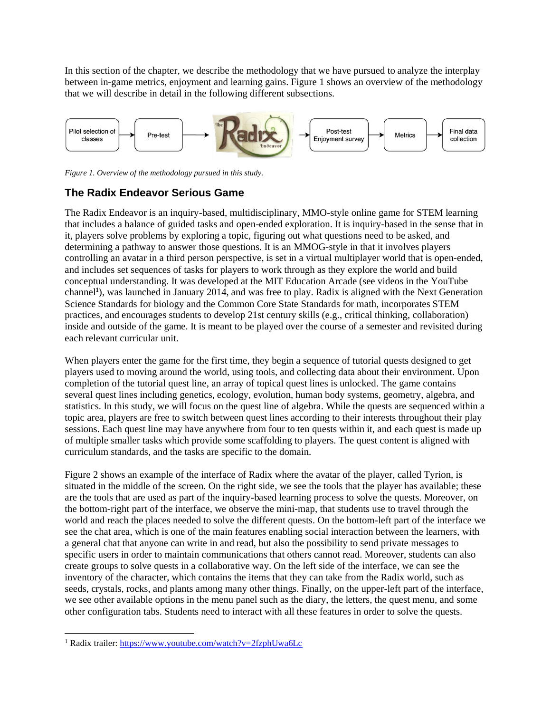In this section of the chapter, we describe the methodology that we have pursued to analyze the interplay between in-game metrics, enjoyment and learning gains. Figure 1 shows an overview of the methodology that we will describe in detail in the following different subsections.



*Figure 1. Overview of the methodology pursued in this study.*

# **The Radix Endeavor Serious Game**

The Radix Endeavor is an inquiry-based, multidisciplinary, MMO-style online game for STEM learning that includes a balance of guided tasks and open-ended exploration. It is inquiry-based in the sense that in it, players solve problems by exploring a topic, figuring out what questions need to be asked, and determining a pathway to answer those questions. It is an MMOG-style in that it involves players controlling an avatar in a third person perspective, is set in a virtual multiplayer world that is open-ended, and includes set sequences of tasks for players to work through as they explore the world and build conceptual understanding. It was developed at the MIT Education Arcade (see videos in the YouTube channel**<sup>1</sup>** ), was launched in January 2014, and was free to play. Radix is aligned with the Next Generation Science Standards for biology and the Common Core State Standards for math, incorporates STEM practices, and encourages students to develop 21st century skills (e.g., critical thinking, collaboration) inside and outside of the game. It is meant to be played over the course of a semester and revisited during each relevant curricular unit.

When players enter the game for the first time, they begin a sequence of tutorial quests designed to get players used to moving around the world, using tools, and collecting data about their environment. Upon completion of the tutorial quest line, an array of topical quest lines is unlocked. The game contains several quest lines including genetics, ecology, evolution, human body systems, geometry, algebra, and statistics. In this study, we will focus on the quest line of algebra. While the quests are sequenced within a topic area, players are free to switch between quest lines according to their interests throughout their play sessions. Each quest line may have anywhere from four to ten quests within it, and each quest is made up of multiple smaller tasks which provide some scaffolding to players. The quest content is aligned with curriculum standards, and the tasks are specific to the domain.

Figure 2 shows an example of the interface of Radix where the avatar of the player, called Tyrion, is situated in the middle of the screen. On the right side, we see the tools that the player has available; these are the tools that are used as part of the inquiry-based learning process to solve the quests. Moreover, on the bottom-right part of the interface, we observe the mini-map, that students use to travel through the world and reach the places needed to solve the different quests. On the bottom-left part of the interface we see the chat area, which is one of the main features enabling social interaction between the learners, with a general chat that anyone can write in and read, but also the possibility to send private messages to specific users in order to maintain communications that others cannot read. Moreover, students can also create groups to solve quests in a collaborative way. On the left side of the interface, we can see the inventory of the character, which contains the items that they can take from the Radix world, such as seeds, crystals, rocks, and plants among many other things. Finally, on the upper-left part of the interface, we see other available options in the menu panel such as the diary, the letters, the quest menu, and some other configuration tabs. Students need to interact with all these features in order to solve the quests.

<sup>1</sup> Radix trailer:<https://www.youtube.com/watch?v=2fzphUwa6Lc>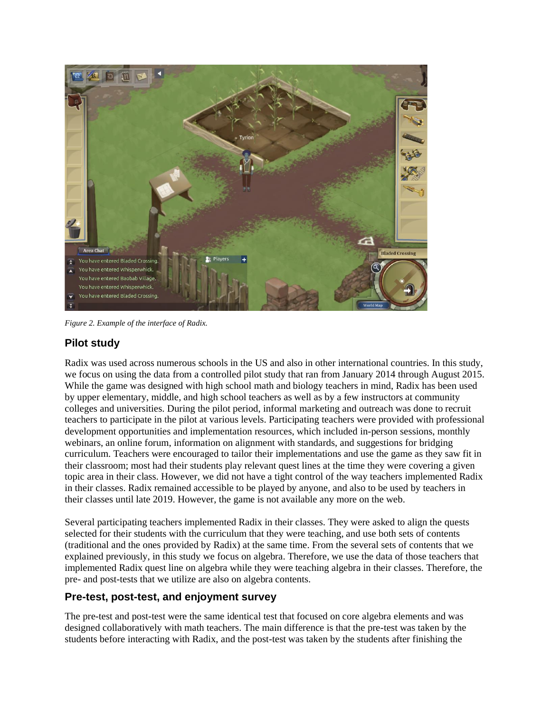

*Figure 2. Example of the interface of Radix.*

# **Pilot study**

Radix was used across numerous schools in the US and also in other international countries. In this study, we focus on using the data from a controlled pilot study that ran from January 2014 through August 2015. While the game was designed with high school math and biology teachers in mind, Radix has been used by upper elementary, middle, and high school teachers as well as by a few instructors at community colleges and universities. During the pilot period, informal marketing and outreach was done to recruit teachers to participate in the pilot at various levels. Participating teachers were provided with professional development opportunities and implementation resources, which included in-person sessions, monthly webinars, an online forum, information on alignment with standards, and suggestions for bridging curriculum. Teachers were encouraged to tailor their implementations and use the game as they saw fit in their classroom; most had their students play relevant quest lines at the time they were covering a given topic area in their class. However, we did not have a tight control of the way teachers implemented Radix in their classes. Radix remained accessible to be played by anyone, and also to be used by teachers in their classes until late 2019. However, the game is not available any more on the web.

Several participating teachers implemented Radix in their classes. They were asked to align the quests selected for their students with the curriculum that they were teaching, and use both sets of contents (traditional and the ones provided by Radix) at the same time. From the several sets of contents that we explained previously, in this study we focus on algebra. Therefore, we use the data of those teachers that implemented Radix quest line on algebra while they were teaching algebra in their classes. Therefore, the pre- and post-tests that we utilize are also on algebra contents.

### **Pre-test, post-test, and enjoyment survey**

The pre-test and post-test were the same identical test that focused on core algebra elements and was designed collaboratively with math teachers. The main difference is that the pre-test was taken by the students before interacting with Radix, and the post-test was taken by the students after finishing the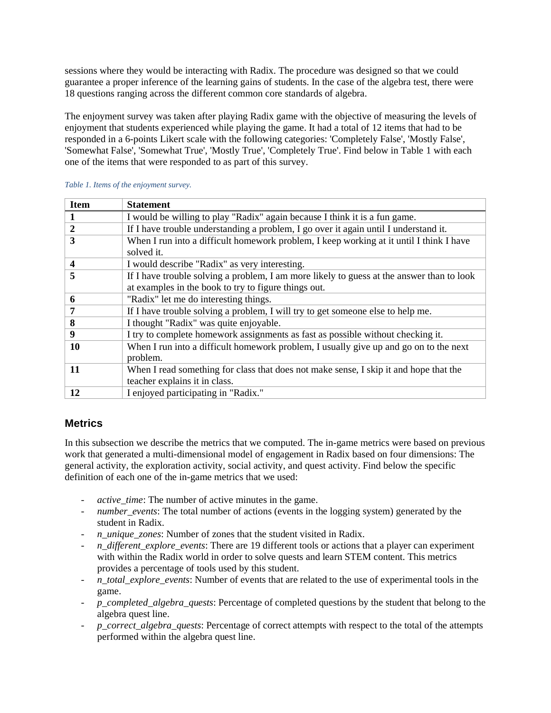sessions where they would be interacting with Radix. The procedure was designed so that we could guarantee a proper inference of the learning gains of students. In the case of the algebra test, there were 18 questions ranging across the different common core standards of algebra.

The enjoyment survey was taken after playing Radix game with the objective of measuring the levels of enjoyment that students experienced while playing the game. It had a total of 12 items that had to be responded in a 6-points Likert scale with the following categories: 'Completely False', 'Mostly False', 'Somewhat False', 'Somewhat True', 'Mostly True', 'Completely True'. Find below in Table 1 with each one of the items that were responded to as part of this survey.

| <b>Item</b>      | <b>Statement</b>                                                                          |
|------------------|-------------------------------------------------------------------------------------------|
| 1                | I would be willing to play "Radix" again because I think it is a fun game.                |
| $\boldsymbol{2}$ | If I have trouble understanding a problem, I go over it again until I understand it.      |
| 3                | When I run into a difficult homework problem, I keep working at it until I think I have   |
|                  | solved it.                                                                                |
| $\boldsymbol{4}$ | I would describe "Radix" as very interesting.                                             |
| 5                | If I have trouble solving a problem, I am more likely to guess at the answer than to look |
|                  | at examples in the book to try to figure things out.                                      |
| 6                | "Radix" let me do interesting things.                                                     |
| 7                | If I have trouble solving a problem, I will try to get someone else to help me.           |
| 8                | I thought "Radix" was quite enjoyable.                                                    |
| 9                | I try to complete homework assignments as fast as possible without checking it.           |
| 10               | When I run into a difficult homework problem, I usually give up and go on to the next     |
|                  | problem.                                                                                  |
| 11               | When I read something for class that does not make sense, I skip it and hope that the     |
|                  | teacher explains it in class.                                                             |
| 12               | I enjoyed participating in "Radix."                                                       |

#### *Table 1. Items of the enjoyment survey.*

#### **Metrics**

In this subsection we describe the metrics that we computed. The in-game metrics were based on previous work that generated a multi-dimensional model of engagement in Radix based on four dimensions: The general activity, the exploration activity, social activity, and quest activity. Find below the specific definition of each one of the in-game metrics that we used:

- *active\_time*: The number of active minutes in the game.
- *number events*: The total number of actions (events in the logging system) generated by the student in Radix.
- *n\_unique\_zones*: Number of zones that the student visited in Radix.
- *n\_different\_explore\_events*: There are 19 different tools or actions that a player can experiment with within the Radix world in order to solve quests and learn STEM content. This metrics provides a percentage of tools used by this student.
- *n\_total\_explore\_events*: Number of events that are related to the use of experimental tools in the game.
- *p\_completed\_algebra\_quests*: Percentage of completed questions by the student that belong to the algebra quest line.
- p\_correct\_algebra\_quests: Percentage of correct attempts with respect to the total of the attempts performed within the algebra quest line.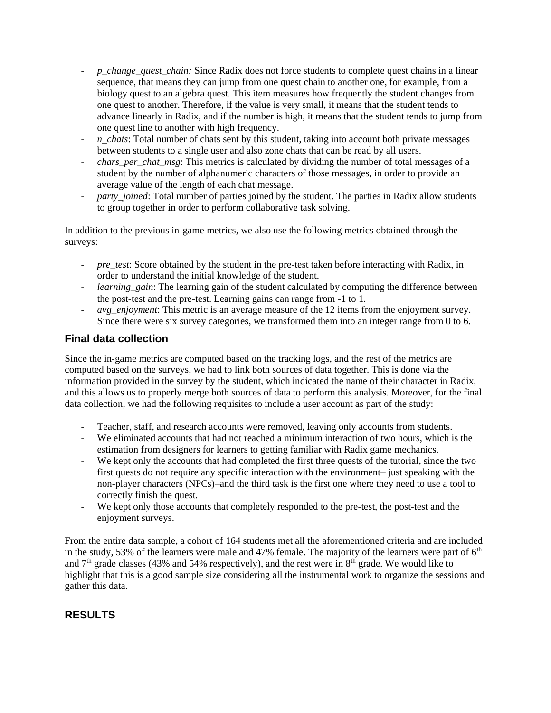- *p\_change\_quest\_chain:* Since Radix does not force students to complete quest chains in a linear sequence, that means they can jump from one quest chain to another one, for example, from a biology quest to an algebra quest. This item measures how frequently the student changes from one quest to another. Therefore, if the value is very small, it means that the student tends to advance linearly in Radix, and if the number is high, it means that the student tends to jump from one quest line to another with high frequency.
- *n\_chats*: Total number of chats sent by this student, taking into account both private messages between students to a single user and also zone chats that can be read by all users.
- *chars\_per\_chat\_msg*: This metrics is calculated by dividing the number of total messages of a student by the number of alphanumeric characters of those messages, in order to provide an average value of the length of each chat message.
- *party joined*: Total number of parties joined by the student. The parties in Radix allow students to group together in order to perform collaborative task solving.

In addition to the previous in-game metrics, we also use the following metrics obtained through the surveys:

- *pre\_test*: Score obtained by the student in the pre-test taken before interacting with Radix, in order to understand the initial knowledge of the student.
- *learning\_gain*: The learning gain of the student calculated by computing the difference between the post-test and the pre-test. Learning gains can range from -1 to 1.
- *avg\_enjoyment*: This metric is an average measure of the 12 items from the enjoyment survey. Since there were six survey categories, we transformed them into an integer range from 0 to 6.

### **Final data collection**

Since the in-game metrics are computed based on the tracking logs, and the rest of the metrics are computed based on the surveys, we had to link both sources of data together. This is done via the information provided in the survey by the student, which indicated the name of their character in Radix, and this allows us to properly merge both sources of data to perform this analysis. Moreover, for the final data collection, we had the following requisites to include a user account as part of the study:

- Teacher, staff, and research accounts were removed, leaving only accounts from students.
- We eliminated accounts that had not reached a minimum interaction of two hours, which is the estimation from designers for learners to getting familiar with Radix game mechanics.
- We kept only the accounts that had completed the first three quests of the tutorial, since the two first quests do not require any specific interaction with the environment– just speaking with the non-player characters (NPCs)–and the third task is the first one where they need to use a tool to correctly finish the quest.
- We kept only those accounts that completely responded to the pre-test, the post-test and the enjoyment surveys.

From the entire data sample, a cohort of 164 students met all the aforementioned criteria and are included in the study, 53% of the learners were male and 47% female. The majority of the learners were part of  $6<sup>th</sup>$ and  $7<sup>th</sup>$  grade classes (43% and 54% respectively), and the rest were in  $8<sup>th</sup>$  grade. We would like to highlight that this is a good sample size considering all the instrumental work to organize the sessions and gather this data.

# **RESULTS**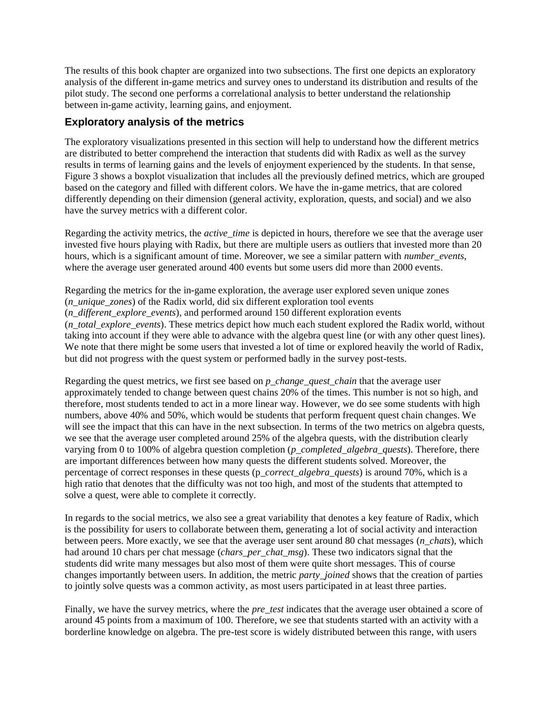The results of this book chapter are organized into two subsections. The first one depicts an exploratory analysis of the different in-game metrics and survey ones to understand its distribution and results of the pilot study. The second one performs a correlational analysis to better understand the relationship between in-game activity, learning gains, and enjoyment.

#### **Exploratory analysis of the metrics**

The exploratory visualizations presented in this section will help to understand how the different metrics are distributed to better comprehend the interaction that students did with Radix as well as the survey results in terms of learning gains and the levels of enjoyment experienced by the students. In that sense, Figure 3 shows a boxplot visualization that includes all the previously defined metrics, which are grouped based on the category and filled with different colors. We have the in-game metrics, that are colored differently depending on their dimension (general activity, exploration, quests, and social) and we also have the survey metrics with a different color.

Regarding the activity metrics, the *active\_time* is depicted in hours, therefore we see that the average user invested five hours playing with Radix, but there are multiple users as outliers that invested more than 20 hours, which is a significant amount of time. Moreover, we see a similar pattern with *number\_events*, where the average user generated around 400 events but some users did more than 2000 events.

Regarding the metrics for the in-game exploration, the average user explored seven unique zones (*n\_unique\_zones*) of the Radix world, did six different exploration tool events (*n\_different\_explore\_events*), and performed around 150 different exploration events (*n\_total\_explore\_events*). These metrics depict how much each student explored the Radix world, without taking into account if they were able to advance with the algebra quest line (or with any other quest lines). We note that there might be some users that invested a lot of time or explored heavily the world of Radix, but did not progress with the quest system or performed badly in the survey post-tests.

Regarding the quest metrics, we first see based on *p\_change\_quest\_chain* that the average user approximately tended to change between quest chains 20% of the times. This number is not so high, and therefore, most students tended to act in a more linear way. However, we do see some students with high numbers, above 40% and 50%, which would be students that perform frequent quest chain changes. We will see the impact that this can have in the next subsection. In terms of the two metrics on algebra quests, we see that the average user completed around 25% of the algebra quests, with the distribution clearly varying from 0 to 100% of algebra question completion (*p\_completed\_algebra\_quests*). Therefore, there are important differences between how many quests the different students solved. Moreover, the percentage of correct responses in these quests (p*\_correct\_algebra\_quests*) is around 70%, which is a high ratio that denotes that the difficulty was not too high, and most of the students that attempted to solve a quest, were able to complete it correctly.

In regards to the social metrics, we also see a great variability that denotes a key feature of Radix, which is the possibility for users to collaborate between them, generating a lot of social activity and interaction between peers. More exactly, we see that the average user sent around 80 chat messages (*n\_chats*), which had around 10 chars per chat message (*chars\_per\_chat\_msg*). These two indicators signal that the students did write many messages but also most of them were quite short messages. This of course changes importantly between users. In addition, the metric *party\_joined* shows that the creation of parties to jointly solve quests was a common activity, as most users participated in at least three parties.

Finally, we have the survey metrics, where the *pre\_test* indicates that the average user obtained a score of around 45 points from a maximum of 100. Therefore, we see that students started with an activity with a borderline knowledge on algebra. The pre-test score is widely distributed between this range, with users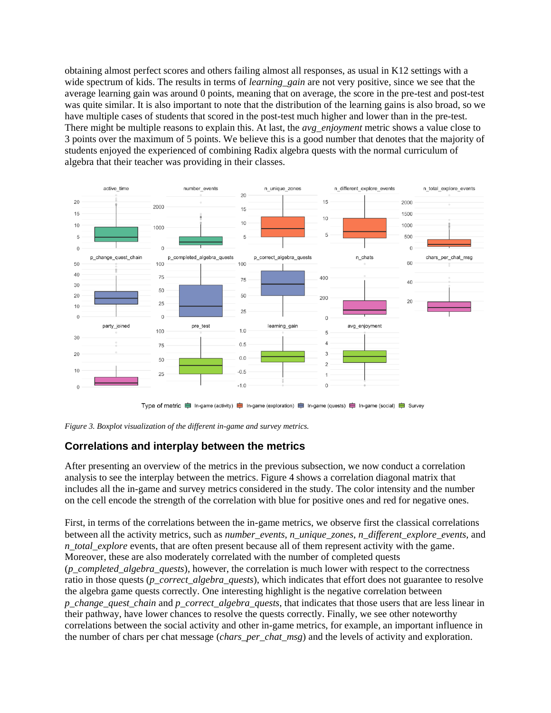obtaining almost perfect scores and others failing almost all responses, as usual in K12 settings with a wide spectrum of kids. The results in terms of *learning\_gain* are not very positive, since we see that the average learning gain was around 0 points, meaning that on average, the score in the pre-test and post-test was quite similar. It is also important to note that the distribution of the learning gains is also broad, so we have multiple cases of students that scored in the post-test much higher and lower than in the pre-test. There might be multiple reasons to explain this. At last, the *avg\_enjoyment* metric shows a value close to 3 points over the maximum of 5 points. We believe this is a good number that denotes that the majority of students enjoyed the experienced of combining Radix algebra quests with the normal curriculum of algebra that their teacher was providing in their classes.





#### **Correlations and interplay between the metrics**

After presenting an overview of the metrics in the previous subsection, we now conduct a correlation analysis to see the interplay between the metrics. Figure 4 shows a correlation diagonal matrix that includes all the in-game and survey metrics considered in the study. The color intensity and the number on the cell encode the strength of the correlation with blue for positive ones and red for negative ones.

First, in terms of the correlations between the in-game metrics, we observe first the classical correlations between all the activity metrics, such as *number\_events*, *n\_unique\_zones*, *n\_different\_explore\_events,* and *n\_total\_explore* events, that are often present because all of them represent activity with the game. Moreover, these are also moderately correlated with the number of completed quests (*p\_completed\_algebra\_quests*), however, the correlation is much lower with respect to the correctness ratio in those quests (*p\_correct\_algebra\_quests*), which indicates that effort does not guarantee to resolve the algebra game quests correctly. One interesting highlight is the negative correlation between *p\_change\_quest\_chain* and *p\_correct\_algebra\_quests*, that indicates that those users that are less linear in their pathway, have lower chances to resolve the quests correctly. Finally, we see other noteworthy correlations between the social activity and other in-game metrics, for example, an important influence in the number of chars per chat message (*chars\_per\_chat\_msg*) and the levels of activity and exploration.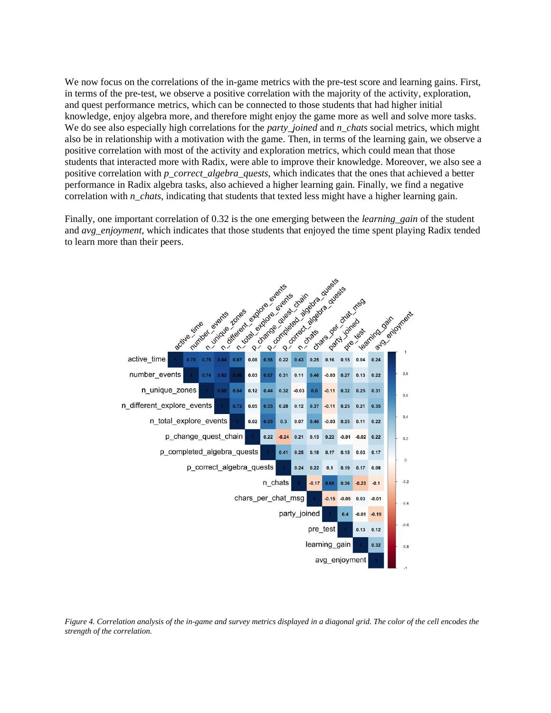We now focus on the correlations of the in-game metrics with the pre-test score and learning gains. First, in terms of the pre-test, we observe a positive correlation with the majority of the activity, exploration, and quest performance metrics, which can be connected to those students that had higher initial knowledge, enjoy algebra more, and therefore might enjoy the game more as well and solve more tasks. We do see also especially high correlations for the *party joined* and *n\_chats* social metrics, which might also be in relationship with a motivation with the game. Then, in terms of the learning gain, we observe a positive correlation with most of the activity and exploration metrics, which could mean that those students that interacted more with Radix, were able to improve their knowledge. Moreover, we also see a positive correlation with *p\_correct\_algebra\_quests*, which indicates that the ones that achieved a better performance in Radix algebra tasks, also achieved a higher learning gain. Finally, we find a negative correlation with *n\_chats*, indicating that students that texted less might have a higher learning gain.

Finally, one important correlation of 0.32 is the one emerging between the *learning\_gain* of the student and *avg\_enjoyment*, which indicates that those students that enjoyed the time spent playing Radix tended to learn more than their peers.



*Figure 4. Correlation analysis of the in-game and survey metrics displayed in a diagonal grid. The color of the cell encodes the strength of the correlation.*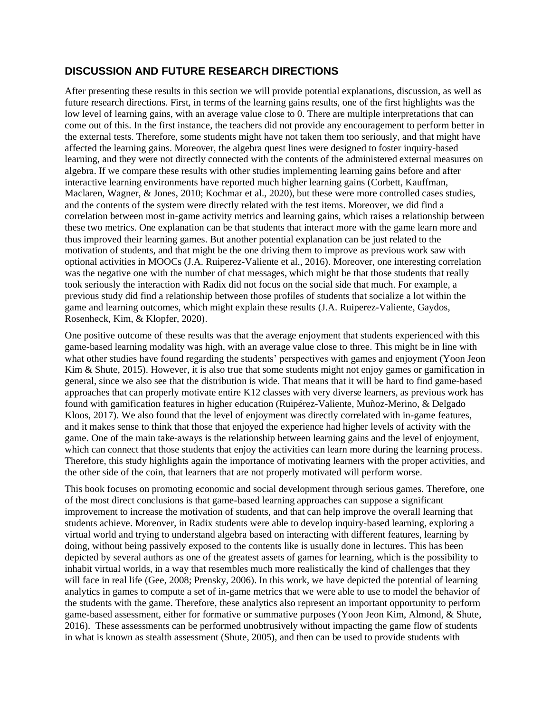### **DISCUSSION AND FUTURE RESEARCH DIRECTIONS**

After presenting these results in this section we will provide potential explanations, discussion, as well as future research directions. First, in terms of the learning gains results, one of the first highlights was the low level of learning gains, with an average value close to 0. There are multiple interpretations that can come out of this. In the first instance, the teachers did not provide any encouragement to perform better in the external tests. Therefore, some students might have not taken them too seriously, and that might have affected the learning gains. Moreover, the algebra quest lines were designed to foster inquiry-based learning, and they were not directly connected with the contents of the administered external measures on algebra. If we compare these results with other studies implementing learning gains before and after interactive learning environments have reported much higher learning gains (Corbett, Kauffman, Maclaren, Wagner, & Jones, 2010; Kochmar et al., 2020), but these were more controlled cases studies, and the contents of the system were directly related with the test items. Moreover, we did find a correlation between most in-game activity metrics and learning gains, which raises a relationship between these two metrics. One explanation can be that students that interact more with the game learn more and thus improved their learning games. But another potential explanation can be just related to the motivation of students, and that might be the one driving them to improve as previous work saw with optional activities in MOOCs (J.A. Ruiperez-Valiente et al., 2016). Moreover, one interesting correlation was the negative one with the number of chat messages, which might be that those students that really took seriously the interaction with Radix did not focus on the social side that much. For example, a previous study did find a relationship between those profiles of students that socialize a lot within the game and learning outcomes, which might explain these results (J.A. Ruiperez-Valiente, Gaydos, Rosenheck, Kim, & Klopfer, 2020).

One positive outcome of these results was that the average enjoyment that students experienced with this game-based learning modality was high, with an average value close to three. This might be in line with what other studies have found regarding the students' perspectives with games and enjoyment (Yoon Jeon Kim & Shute, 2015). However, it is also true that some students might not enjoy games or gamification in general, since we also see that the distribution is wide. That means that it will be hard to find game-based approaches that can properly motivate entire K12 classes with very diverse learners, as previous work has found with gamification features in higher education (Ruipérez-Valiente, Muñoz-Merino, & Delgado Kloos, 2017). We also found that the level of enjoyment was directly correlated with in-game features, and it makes sense to think that those that enjoyed the experience had higher levels of activity with the game. One of the main take-aways is the relationship between learning gains and the level of enjoyment, which can connect that those students that enjoy the activities can learn more during the learning process. Therefore, this study highlights again the importance of motivating learners with the proper activities, and the other side of the coin, that learners that are not properly motivated will perform worse.

This book focuses on promoting economic and social development through serious games. Therefore, one of the most direct conclusions is that game-based learning approaches can suppose a significant improvement to increase the motivation of students, and that can help improve the overall learning that students achieve. Moreover, in Radix students were able to develop inquiry-based learning, exploring a virtual world and trying to understand algebra based on interacting with different features, learning by doing, without being passively exposed to the contents like is usually done in lectures. This has been depicted by several authors as one of the greatest assets of games for learning, which is the possibility to inhabit virtual worlds, in a way that resembles much more realistically the kind of challenges that they will face in real life (Gee, 2008; Prensky, 2006). In this work, we have depicted the potential of learning analytics in games to compute a set of in-game metrics that we were able to use to model the behavior of the students with the game. Therefore, these analytics also represent an important opportunity to perform game-based assessment, either for formative or summative purposes (Yoon Jeon Kim, Almond, & Shute, 2016). These assessments can be performed unobtrusively without impacting the game flow of students in what is known as stealth assessment (Shute, 2005), and then can be used to provide students with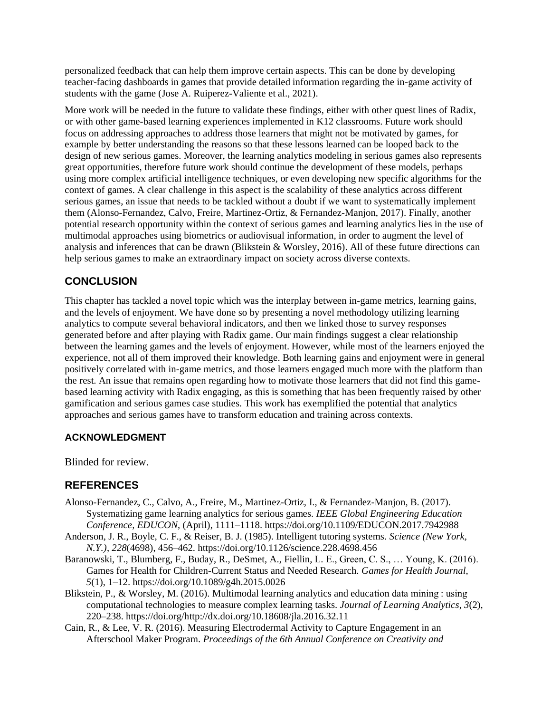personalized feedback that can help them improve certain aspects. This can be done by developing teacher-facing dashboards in games that provide detailed information regarding the in-game activity of students with the game (Jose A. Ruiperez-Valiente et al., 2021).

More work will be needed in the future to validate these findings, either with other quest lines of Radix, or with other game-based learning experiences implemented in K12 classrooms. Future work should focus on addressing approaches to address those learners that might not be motivated by games, for example by better understanding the reasons so that these lessons learned can be looped back to the design of new serious games. Moreover, the learning analytics modeling in serious games also represents great opportunities, therefore future work should continue the development of these models, perhaps using more complex artificial intelligence techniques, or even developing new specific algorithms for the context of games. A clear challenge in this aspect is the scalability of these analytics across different serious games, an issue that needs to be tackled without a doubt if we want to systematically implement them (Alonso-Fernandez, Calvo, Freire, Martinez-Ortiz, & Fernandez-Manjon, 2017). Finally, another potential research opportunity within the context of serious games and learning analytics lies in the use of multimodal approaches using biometrics or audiovisual information, in order to augment the level of analysis and inferences that can be drawn (Blikstein & Worsley, 2016). All of these future directions can help serious games to make an extraordinary impact on society across diverse contexts.

# **CONCLUSION**

This chapter has tackled a novel topic which was the interplay between in-game metrics, learning gains, and the levels of enjoyment. We have done so by presenting a novel methodology utilizing learning analytics to compute several behavioral indicators, and then we linked those to survey responses generated before and after playing with Radix game. Our main findings suggest a clear relationship between the learning games and the levels of enjoyment. However, while most of the learners enjoyed the experience, not all of them improved their knowledge. Both learning gains and enjoyment were in general positively correlated with in-game metrics, and those learners engaged much more with the platform than the rest. An issue that remains open regarding how to motivate those learners that did not find this gamebased learning activity with Radix engaging, as this is something that has been frequently raised by other gamification and serious games case studies. This work has exemplified the potential that analytics approaches and serious games have to transform education and training across contexts.

#### **ACKNOWLEDGMENT**

Blinded for review.

### **REFERENCES**

- Alonso-Fernandez, C., Calvo, A., Freire, M., Martinez-Ortiz, I., & Fernandez-Manjon, B. (2017). Systematizing game learning analytics for serious games. *IEEE Global Engineering Education Conference, EDUCON*, (April), 1111–1118. https://doi.org/10.1109/EDUCON.2017.7942988
- Anderson, J. R., Boyle, C. F., & Reiser, B. J. (1985). Intelligent tutoring systems. *Science (New York, N.Y.)*, *228*(4698), 456–462. https://doi.org/10.1126/science.228.4698.456
- Baranowski, T., Blumberg, F., Buday, R., DeSmet, A., Fiellin, L. E., Green, C. S., … Young, K. (2016). Games for Health for Children-Current Status and Needed Research. *Games for Health Journal*, *5*(1), 1–12. https://doi.org/10.1089/g4h.2015.0026
- Blikstein, P., & Worsley, M. (2016). Multimodal learning analytics and education data mining : using computational technologies to measure complex learning tasks. *Journal of Learning Analytics*, *3*(2), 220–238. https://doi.org/http://dx.doi.org/10.18608/jla.2016.32.11
- Cain, R., & Lee, V. R. (2016). Measuring Electrodermal Activity to Capture Engagement in an Afterschool Maker Program. *Proceedings of the 6th Annual Conference on Creativity and*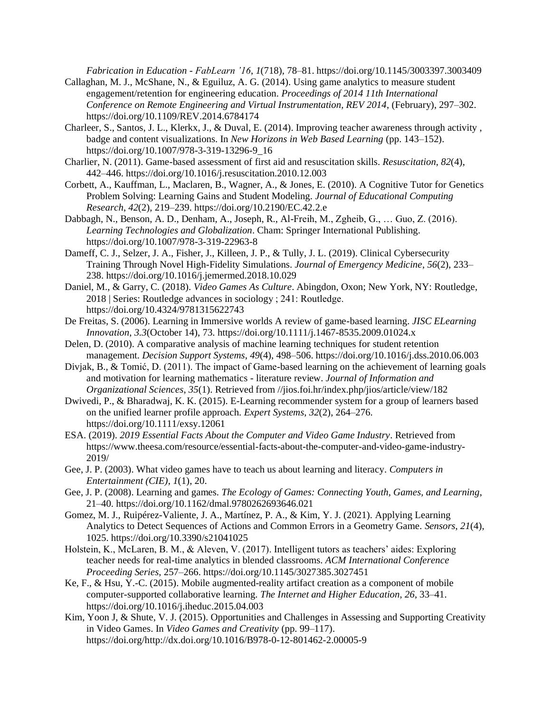*Fabrication in Education - FabLearn '16*, *1*(718), 78–81. https://doi.org/10.1145/3003397.3003409

- Callaghan, M. J., McShane, N., & Eguiluz, A. G. (2014). Using game analytics to measure student engagement/retention for engineering education. *Proceedings of 2014 11th International Conference on Remote Engineering and Virtual Instrumentation, REV 2014*, (February), 297–302. https://doi.org/10.1109/REV.2014.6784174
- Charleer, S., Santos, J. L., Klerkx, J., & Duval, E. (2014). Improving teacher awareness through activity , badge and content visualizations. In *New Horizons in Web Based Learning* (pp. 143–152). https://doi.org/10.1007/978-3-319-13296-9\_16
- Charlier, N. (2011). Game-based assessment of first aid and resuscitation skills. *Resuscitation*, *82*(4), 442–446. https://doi.org/10.1016/j.resuscitation.2010.12.003
- Corbett, A., Kauffman, L., Maclaren, B., Wagner, A., & Jones, E. (2010). A Cognitive Tutor for Genetics Problem Solving: Learning Gains and Student Modeling. *Journal of Educational Computing Research*, *42*(2), 219–239. https://doi.org/10.2190/EC.42.2.e
- Dabbagh, N., Benson, A. D., Denham, A., Joseph, R., Al-Freih, M., Zgheib, G., … Guo, Z. (2016). *Learning Technologies and Globalization*. Cham: Springer International Publishing. https://doi.org/10.1007/978-3-319-22963-8
- Dameff, C. J., Selzer, J. A., Fisher, J., Killeen, J. P., & Tully, J. L. (2019). Clinical Cybersecurity Training Through Novel High-Fidelity Simulations. *Journal of Emergency Medicine*, *56*(2), 233– 238. https://doi.org/10.1016/j.jemermed.2018.10.029
- Daniel, M., & Garry, C. (2018). *Video Games As Culture*. Abingdon, Oxon; New York, NY: Routledge, 2018 | Series: Routledge advances in sociology ; 241: Routledge. https://doi.org/10.4324/9781315622743
- De Freitas, S. (2006). Learning in Immersive worlds A review of game-based learning. *JISC ELearning Innovation*, *3.3*(October 14), 73. https://doi.org/10.1111/j.1467-8535.2009.01024.x
- Delen, D. (2010). A comparative analysis of machine learning techniques for student retention management. *Decision Support Systems*, *49*(4), 498–506. https://doi.org/10.1016/j.dss.2010.06.003
- Divjak, B., & Tomić, D. (2011). The impact of Game-based learning on the achievement of learning goals and motivation for learning mathematics - literature review. *Journal of Information and Organizational Sciences*, *35*(1). Retrieved from //jios.foi.hr/index.php/jios/article/view/182
- Dwivedi, P., & Bharadwaj, K. K. (2015). E-Learning recommender system for a group of learners based on the unified learner profile approach. *Expert Systems*, *32*(2), 264–276. https://doi.org/10.1111/exsy.12061
- ESA. (2019). *2019 Essential Facts About the Computer and Video Game Industry*. Retrieved from https://www.theesa.com/resource/essential-facts-about-the-computer-and-video-game-industry-2019/
- Gee, J. P. (2003). What video games have to teach us about learning and literacy. *Computers in Entertainment (CIE)*, *1*(1), 20.
- Gee, J. P. (2008). Learning and games. *The Ecology of Games: Connecting Youth, Games, and Learning*, 21–40. https://doi.org/10.1162/dmal.9780262693646.021
- Gomez, M. J., Ruipérez-Valiente, J. A., Martínez, P. A., & Kim, Y. J. (2021). Applying Learning Analytics to Detect Sequences of Actions and Common Errors in a Geometry Game. *Sensors*, *21*(4), 1025. https://doi.org/10.3390/s21041025
- Holstein, K., McLaren, B. M., & Aleven, V. (2017). Intelligent tutors as teachers' aides: Exploring teacher needs for real-time analytics in blended classrooms. *ACM International Conference Proceeding Series*, 257–266. https://doi.org/10.1145/3027385.3027451
- Ke, F., & Hsu, Y.-C. (2015). Mobile augmented-reality artifact creation as a component of mobile computer-supported collaborative learning. *The Internet and Higher Education*, *26*, 33–41. https://doi.org/10.1016/j.iheduc.2015.04.003
- Kim, Yoon J, & Shute, V. J. (2015). Opportunities and Challenges in Assessing and Supporting Creativity in Video Games. In *Video Games and Creativity* (pp. 99–117). https://doi.org/http://dx.doi.org/10.1016/B978-0-12-801462-2.00005-9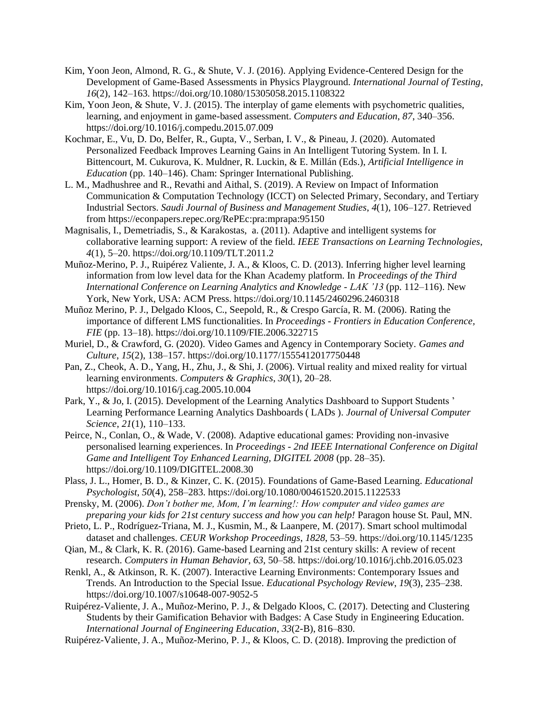- Kim, Yoon Jeon, Almond, R. G., & Shute, V. J. (2016). Applying Evidence-Centered Design for the Development of Game-Based Assessments in Physics Playground. *International Journal of Testing*, *16*(2), 142–163. https://doi.org/10.1080/15305058.2015.1108322
- Kim, Yoon Jeon, & Shute, V. J. (2015). The interplay of game elements with psychometric qualities, learning, and enjoyment in game-based assessment. *Computers and Education*, *87*, 340–356. https://doi.org/10.1016/j.compedu.2015.07.009
- Kochmar, E., Vu, D. Do, Belfer, R., Gupta, V., Serban, I. V., & Pineau, J. (2020). Automated Personalized Feedback Improves Learning Gains in An Intelligent Tutoring System. In I. I. Bittencourt, M. Cukurova, K. Muldner, R. Luckin, & E. Millán (Eds.), *Artificial Intelligence in Education* (pp. 140–146). Cham: Springer International Publishing.
- L. M., Madhushree and R., Revathi and Aithal, S. (2019). A Review on Impact of Information Communication & Computation Technology (ICCT) on Selected Primary, Secondary, and Tertiary Industrial Sectors. *Saudi Journal of Business and Management Studies*, *4*(1), 106–127. Retrieved from https://econpapers.repec.org/RePEc:pra:mprapa:95150
- Magnisalis, I., Demetriadis, S., & Karakostas, a. (2011). Adaptive and intelligent systems for collaborative learning support: A review of the field. *IEEE Transactions on Learning Technologies*, *4*(1), 5–20. https://doi.org/10.1109/TLT.2011.2
- Muñoz-Merino, P. J., Ruipérez Valiente, J. A., & Kloos, C. D. (2013). Inferring higher level learning information from low level data for the Khan Academy platform. In *Proceedings of the Third International Conference on Learning Analytics and Knowledge - LAK '13* (pp. 112–116). New York, New York, USA: ACM Press. https://doi.org/10.1145/2460296.2460318
- Muñoz Merino, P. J., Delgado Kloos, C., Seepold, R., & Crespo García, R. M. (2006). Rating the importance of different LMS functionalities. In *Proceedings - Frontiers in Education Conference, FIE* (pp. 13–18). https://doi.org/10.1109/FIE.2006.322715
- Muriel, D., & Crawford, G. (2020). Video Games and Agency in Contemporary Society. *Games and Culture*, *15*(2), 138–157. https://doi.org/10.1177/1555412017750448
- Pan, Z., Cheok, A. D., Yang, H., Zhu, J., & Shi, J. (2006). Virtual reality and mixed reality for virtual learning environments. *Computers & Graphics*, *30*(1), 20–28. https://doi.org/10.1016/j.cag.2005.10.004
- Park, Y., & Jo, I. (2015). Development of the Learning Analytics Dashboard to Support Students ' Learning Performance Learning Analytics Dashboards ( LADs ). *Journal of Universal Computer Science*, *21*(1), 110–133.
- Peirce, N., Conlan, O., & Wade, V. (2008). Adaptive educational games: Providing non-invasive personalised learning experiences. In *Proceedings - 2nd IEEE International Conference on Digital Game and Intelligent Toy Enhanced Learning, DIGITEL 2008* (pp. 28–35). https://doi.org/10.1109/DIGITEL.2008.30
- Plass, J. L., Homer, B. D., & Kinzer, C. K. (2015). Foundations of Game-Based Learning. *Educational Psychologist*, *50*(4), 258–283. https://doi.org/10.1080/00461520.2015.1122533
- Prensky, M. (2006). *Don't bother me, Mom, I'm learning!: How computer and video games are preparing your kids for 21st century success and how you can help!* Paragon house St. Paul, MN.
- Prieto, L. P., Rodríguez-Triana, M. J., Kusmin, M., & Laanpere, M. (2017). Smart school multimodal dataset and challenges. *CEUR Workshop Proceedings*, *1828*, 53–59. https://doi.org/10.1145/1235
- Qian, M., & Clark, K. R. (2016). Game-based Learning and 21st century skills: A review of recent research. *Computers in Human Behavior*, *63*, 50–58. https://doi.org/10.1016/j.chb.2016.05.023
- Renkl, A., & Atkinson, R. K. (2007). Interactive Learning Environments: Contemporary Issues and Trends. An Introduction to the Special Issue. *Educational Psychology Review*, *19*(3), 235–238. https://doi.org/10.1007/s10648-007-9052-5
- Ruipérez-Valiente, J. A., Muñoz-Merino, P. J., & Delgado Kloos, C. (2017). Detecting and Clustering Students by their Gamification Behavior with Badges: A Case Study in Engineering Education. *International Journal of Engineering Education*, *33*(2-B), 816–830.
- Ruipérez-Valiente, J. A., Muñoz-Merino, P. J., & Kloos, C. D. (2018). Improving the prediction of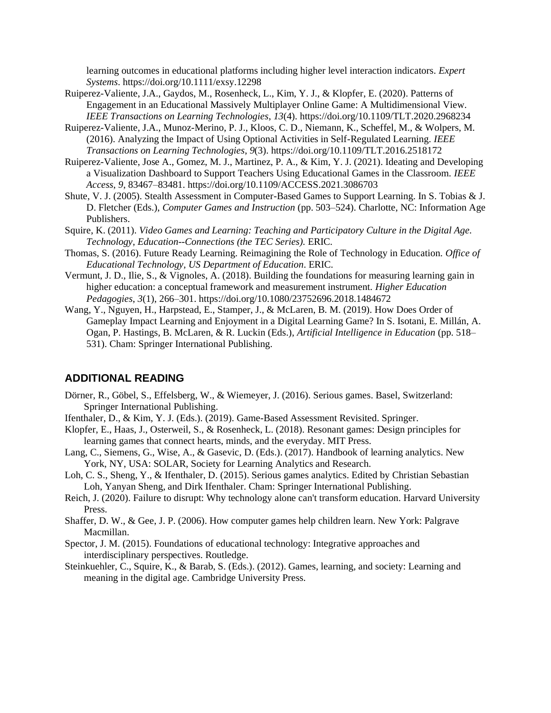learning outcomes in educational platforms including higher level interaction indicators. *Expert Systems*. https://doi.org/10.1111/exsy.12298

- Ruiperez-Valiente, J.A., Gaydos, M., Rosenheck, L., Kim, Y. J., & Klopfer, E. (2020). Patterns of Engagement in an Educational Massively Multiplayer Online Game: A Multidimensional View. *IEEE Transactions on Learning Technologies*, *13*(4). https://doi.org/10.1109/TLT.2020.2968234
- Ruiperez-Valiente, J.A., Munoz-Merino, P. J., Kloos, C. D., Niemann, K., Scheffel, M., & Wolpers, M. (2016). Analyzing the Impact of Using Optional Activities in Self-Regulated Learning. *IEEE Transactions on Learning Technologies*, *9*(3). https://doi.org/10.1109/TLT.2016.2518172
- Ruiperez-Valiente, Jose A., Gomez, M. J., Martinez, P. A., & Kim, Y. J. (2021). Ideating and Developing a Visualization Dashboard to Support Teachers Using Educational Games in the Classroom. *IEEE Access*, *9*, 83467–83481. https://doi.org/10.1109/ACCESS.2021.3086703
- Shute, V. J. (2005). Stealth Assessment in Computer-Based Games to Support Learning. In S. Tobias & J. D. Fletcher (Eds.), *Computer Games and Instruction* (pp. 503–524). Charlotte, NC: Information Age Publishers.
- Squire, K. (2011). *Video Games and Learning: Teaching and Participatory Culture in the Digital Age. Technology, Education--Connections (the TEC Series).* ERIC.
- Thomas, S. (2016). Future Ready Learning. Reimagining the Role of Technology in Education. *Office of Educational Technology, US Department of Education*. ERIC.
- Vermunt, J. D., Ilie, S., & Vignoles, A. (2018). Building the foundations for measuring learning gain in higher education: a conceptual framework and measurement instrument. *Higher Education Pedagogies*, *3*(1), 266–301. https://doi.org/10.1080/23752696.2018.1484672
- Wang, Y., Nguyen, H., Harpstead, E., Stamper, J., & McLaren, B. M. (2019). How Does Order of Gameplay Impact Learning and Enjoyment in a Digital Learning Game? In S. Isotani, E. Millán, A. Ogan, P. Hastings, B. McLaren, & R. Luckin (Eds.), *Artificial Intelligence in Education* (pp. 518– 531). Cham: Springer International Publishing.

#### **ADDITIONAL READING**

- Dörner, R., Göbel, S., Effelsberg, W., & Wiemeyer, J. (2016). Serious games. Basel, Switzerland: Springer International Publishing.
- Ifenthaler, D., & Kim, Y. J. (Eds.). (2019). Game-Based Assessment Revisited. Springer.
- Klopfer, E., Haas, J., Osterweil, S., & Rosenheck, L. (2018). Resonant games: Design principles for learning games that connect hearts, minds, and the everyday. MIT Press.
- Lang, C., Siemens, G., Wise, A., & Gasevic, D. (Eds.). (2017). Handbook of learning analytics. New York, NY, USA: SOLAR, Society for Learning Analytics and Research.
- Loh, C. S., Sheng, Y., & Ifenthaler, D. (2015). Serious games analytics. Edited by Christian Sebastian Loh, Yanyan Sheng, and Dirk Ifenthaler. Cham: Springer International Publishing.
- Reich, J. (2020). Failure to disrupt: Why technology alone can't transform education. Harvard University Press.
- Shaffer, D. W., & Gee, J. P. (2006). How computer games help children learn. New York: Palgrave Macmillan.
- Spector, J. M. (2015). Foundations of educational technology: Integrative approaches and interdisciplinary perspectives. Routledge.
- Steinkuehler, C., Squire, K., & Barab, S. (Eds.). (2012). Games, learning, and society: Learning and meaning in the digital age. Cambridge University Press.